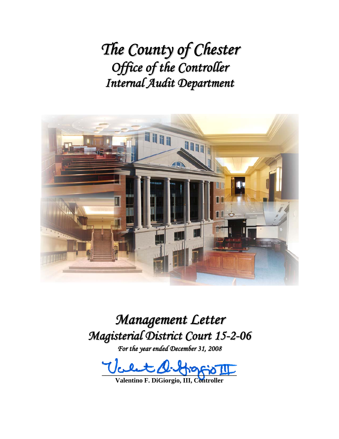*The County of Chester Office of the Controller Internal Audit Department*



*Management Letter Magisterial District Court 15-2-06*

*For the year ended December 31, 2008*

**\_\_\_\_\_\_\_\_\_\_\_\_\_\_\_\_\_\_\_\_\_\_\_\_\_\_\_\_\_\_\_\_\_\_\_\_\_\_\_\_\_** 

**Valentino F. DiGiorgio, III, Controller**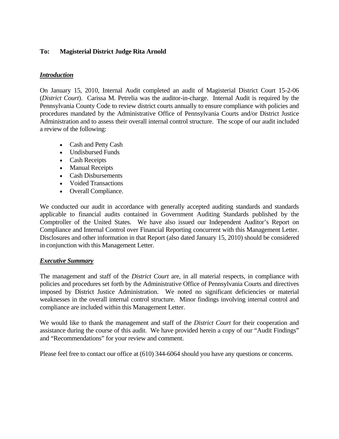### **To: Magisterial District Judge Rita Arnold**

### *Introduction*

On January 15, 2010, Internal Audit completed an audit of Magisterial District Court 15-2-06 (*District Court*). Carissa M. Petrelia was the auditor-in-charge. Internal Audit is required by the Pennsylvania County Code to review district courts annually to ensure compliance with policies and procedures mandated by the Administrative Office of Pennsylvania Courts and/or District Justice Administration and to assess their overall internal control structure. The scope of our audit included a review of the following:

- Cash and Petty Cash
- Undisbursed Funds
- Cash Receipts
- Manual Receipts
- Cash Disbursements
- Voided Transactions
- Overall Compliance.

We conducted our audit in accordance with generally accepted auditing standards and standards applicable to financial audits contained in Government Auditing Standards published by the Comptroller of the United States. We have also issued our Independent Auditor's Report on Compliance and Internal Control over Financial Reporting concurrent with this Management Letter. Disclosures and other information in that Report (also dated January 15, 2010) should be considered in conjunction with this Management Letter.

#### *Executive Summary*

The management and staff of the *District Court* are, in all material respects, in compliance with policies and procedures set forth by the Administrative Office of Pennsylvania Courts and directives imposed by District Justice Administration. We noted no significant deficiencies or material weaknesses in the overall internal control structure. Minor findings involving internal control and compliance are included within this Management Letter.

We would like to thank the management and staff of the *District Court* for their cooperation and assistance during the course of this audit. We have provided herein a copy of our "Audit Findings" and "Recommendations" for your review and comment.

Please feel free to contact our office at (610) 344-6064 should you have any questions or concerns.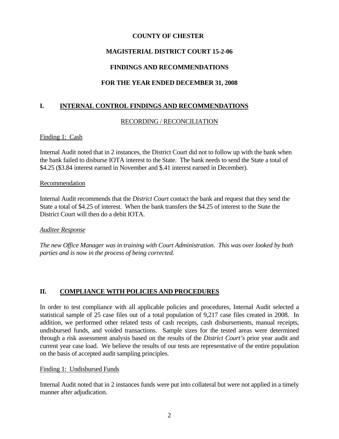### **COUNTY OF CHESTER**

## **MAGISTERIAL DISTRICT COURT 15-2-06**

# **FINDINGS AND RECOMMENDATIONS**

# **FOR THE YEAR ENDED DECEMBER 31, 2008**

## **I. INTERNAL CONTROL FINDINGS AND RECOMMENDATIONS**

### RECORDING / RECONCILIATION

#### Finding 1: Cash

Internal Audit noted that in 2 instances, the District Court did not to follow up with the bank when the bank failed to disburse IOTA interest to the State. The bank needs to send the State a total of \$4.25 (\$3.84 interest earned in November and \$.41 interest earned in December).

#### Recommendation

Internal Audit recommends that the *District Court* contact the bank and request that they send the State a total of \$4.25 of interest. When the bank transfers the \$4.25 of interest to the State the District Court will then do a debit IOTA.

#### *Auditee Response*

*The new Office Manager was in training with Court Administration. This was over looked by both parties and is now in the process of being corrected.* 

### **II. COMPLIANCE WITH POLICIES AND PROCEDURES**

In order to test compliance with all applicable policies and procedures, Internal Audit selected a statistical sample of 25 case files out of a total population of 9,217 case files created in 2008. In addition, we performed other related tests of cash receipts, cash disbursements, manual receipts, undisbursed funds, and voided transactions. Sample sizes for the tested areas were determined through a risk assessment analysis based on the results of the *District Court's* prior year audit and current year case load. We believe the results of our tests are representative of the entire population on the basis of accepted audit sampling principles.

#### Finding 1: Undisbursed Funds

Internal Audit noted that in 2 instances funds were put into collateral but were not applied in a timely manner after adjudication.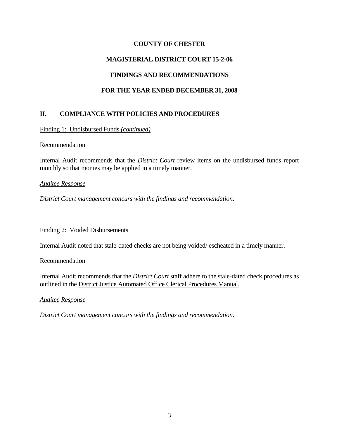## **COUNTY OF CHESTER**

# **MAGISTERIAL DISTRICT COURT 15-2-06**

## **FINDINGS AND RECOMMENDATIONS**

# **FOR THE YEAR ENDED DECEMBER 31, 2008**

# **II. COMPLIANCE WITH POLICIES AND PROCEDURES**

Finding 1: Undisbursed Funds *(continued)*

#### Recommendation

Internal Audit recommends that the *District Court* review items on the undisbursed funds report monthly so that monies may be applied in a timely manner.

### *Auditee Response*

*District Court management concurs with the findings and recommendation.* 

Finding 2: Voided Disbursements

Internal Audit noted that stale-dated checks are not being voided/ escheated in a timely manner.

#### Recommendation

Internal Audit recommends that the *District Court* staff adhere to the stale-dated check procedures as outlined in the District Justice Automated Office Clerical Procedures Manual.

#### *Auditee Response*

*District Court management concurs with the findings and recommendation.*